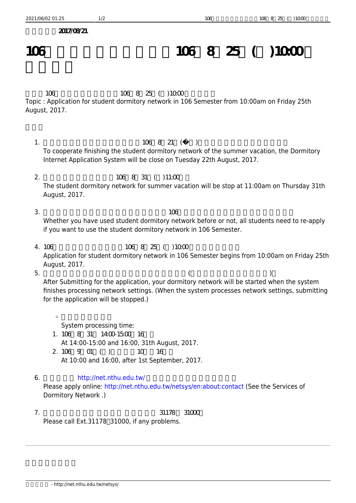$2017/OR/21$ 

## 106 **106 8 25 ( ) 10:00**

106 106 8 25 ( ) 10:00 Topic : Application for student dormitory network in 106 Semester from 10:00am on Friday 25th August, 2017.

- $1.$   $106821$  () To cooperate finishing the student dormitory network of the summer vacation, the Dormitory Internet Application System will be close on Tuesday 22th August, 2017.
- 2. 106 8 31 (11:00 The student dormitory network for summer vacation will be stop at 11:00am on Thursday 31th August, 2017.
- $3.$   $106$ Whether you have used student dormitory network before or not, all students need to re-apply if you want to use the student dormitory network in 106 Semester.
- 4. 106  $106 \t 8 \t 25 \t (1000 \t 1000 \t 1000 \t 1000 \t 1000 \t 1000 \t 1000 \t 1000 \t 1000 \t 1000 \t 1000 \t 1000 \t 1000 \t 1000 \t 1000 \t 1000 \t 1000 \t 1000 \t 1000 \t 1000 \t 1000 \t 1000 \t 1000 \t 1000 \t 1000 \t 1000 \t 1000 \t 1000 \t 1000$ Application for student dormitory network in 106 Semester begins from 10:00am on Friday 25th August, 2017.
- $5.$  (exercise  $($ After Submitting for the application, your dormitory network will be started when the system finishes processing network settings. (When the system processes network settings, submitting for the application will be stopped.)

 $\circ$ System processing time: 1.  $106 \quad 8 \quad 31 \quad 1400 \quad 1500 \quad 16$ 

At 14:00-15:00 and 16:00, 31th August, 2017. 2. 106 9 01 ( ) 10 16 At 10:00 and 16:00, after 1st September, 2017.

## 6. <http://net.nthu.edu.tw/>

Please apply online: <http://net.nthu.edu.tw/netsys/en:about:contact>(See the Services of Dormitory Network .)

 $7.$   $31178$   $31000$ Please call Ext.31178<sup>[31000</sup>, if any problems.